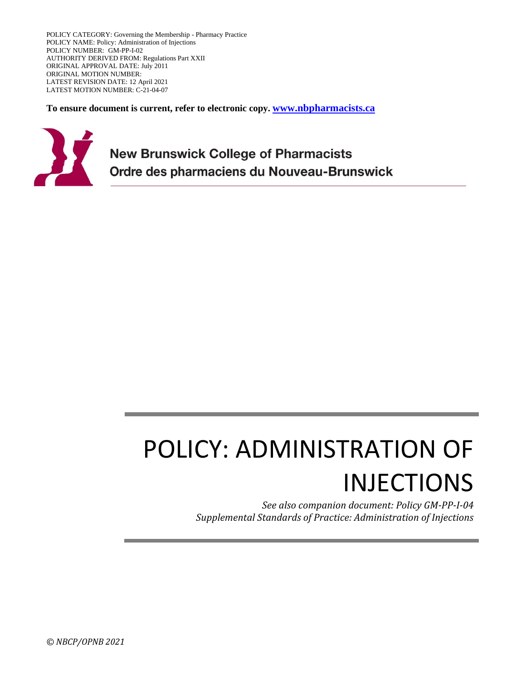POLICY CATEGORY: Governing the Membership - Pharmacy Practice POLICY NAME: Policy: Administration of Injections POLICY NUMBER: GM-PP-I-02 AUTHORITY DERIVED FROM: Regulations Part XXII ORIGINAL APPROVAL DATE: July 2011 ORIGINAL MOTION NUMBER: LATEST REVISION DATE: 12 April 2021 LATEST MOTION NUMBER: C-21-04-07

**To ensure document is current, refer to electronic copy. [www.nbpharmacists.ca](http://www.nbpharmacists.ca/)**



**New Brunswick College of Pharmacists** Ordre des pharmaciens du Nouveau-Brunswick

# POLICY: ADMINISTRATION OF INJECTIONS

*See also companion document: Policy GM-PP-I-04 Supplemental Standards of Practice: Administration of Injections*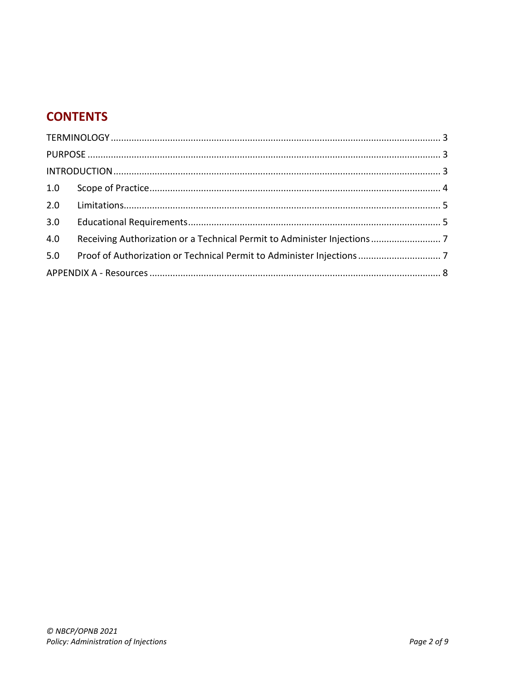## **CONTENTS**

| 2.0 |                                                                          |  |
|-----|--------------------------------------------------------------------------|--|
| 3.0 |                                                                          |  |
| 4.0 | Receiving Authorization or a Technical Permit to Administer Injections 7 |  |
| 5.0 |                                                                          |  |
|     |                                                                          |  |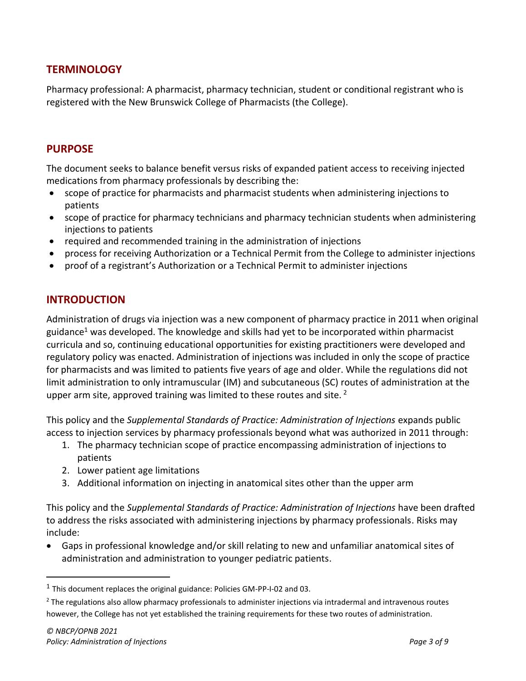## <span id="page-2-0"></span>**TERMINOLOGY**

Pharmacy professional: A pharmacist, pharmacy technician, student or conditional registrant who is registered with the New Brunswick College of Pharmacists (the College).

## <span id="page-2-1"></span>**PURPOSE**

The document seeks to balance benefit versus risks of expanded patient access to receiving injected medications from pharmacy professionals by describing the:

- scope of practice for pharmacists and pharmacist students when administering injections to patients
- scope of practice for pharmacy technicians and pharmacy technician students when administering injections to patients
- required and recommended training in the administration of injections
- process for receiving Authorization or a Technical Permit from the College to administer injections
- <span id="page-2-2"></span>• proof of a registrant's Authorization or a Technical Permit to administer injections

## **INTRODUCTION**

Administration of drugs via injection was a new component of pharmacy practice in 2011 when original guidance<sup>1</sup> was developed. The knowledge and skills had yet to be incorporated within pharmacist curricula and so, continuing educational opportunities for existing practitioners were developed and regulatory policy was enacted. Administration of injections was included in only the scope of practice for pharmacists and was limited to patients five years of age and older. While the regulations did not limit administration to only intramuscular (IM) and subcutaneous (SC) routes of administration at the upper arm site, approved training was limited to these routes and site.  $2$ 

This policy and the *Supplemental Standards of Practice: Administration of Injections* expands public access to injection services by pharmacy professionals beyond what was authorized in 2011 through:

- 1. The pharmacy technician scope of practice encompassing administration of injections to patients
- 2. Lower patient age limitations
- 3. Additional information on injecting in anatomical sites other than the upper arm

This policy and the *Supplemental Standards of Practice: Administration of Injections* have been drafted to address the risks associated with administering injections by pharmacy professionals. Risks may include:

• Gaps in professional knowledge and/or skill relating to new and unfamiliar anatomical sites of administration and administration to younger pediatric patients.

 $<sup>1</sup>$  This document replaces the original guidance: Policies GM-PP-I-02 and 03.</sup>

<sup>&</sup>lt;sup>2</sup> The regulations also allow pharmacy professionals to administer injections via intradermal and intravenous routes however, the College has not yet established the training requirements for these two routes of administration.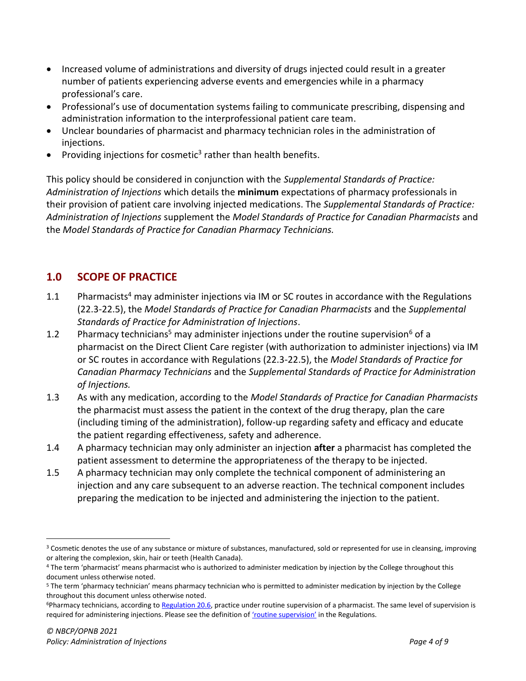- Increased volume of administrations and diversity of drugs injected could result in a greater number of patients experiencing adverse events and emergencies while in a pharmacy professional's care.
- Professional's use of documentation systems failing to communicate prescribing, dispensing and administration information to the interprofessional patient care team.
- Unclear boundaries of pharmacist and pharmacy technician roles in the administration of injections.
- Providing injections for cosmetic<sup>3</sup> rather than health benefits.

This policy should be considered in conjunction with the *Supplemental Standards of Practice: Administration of Injections* which details the **minimum** expectations of pharmacy professionals in their provision of patient care involving injected medications. The *Supplemental Standards of Practice: Administration of Injections* supplement the *Model Standards of Practice for Canadian Pharmacists* and the *Model Standards of Practice for Canadian Pharmacy Technicians.*

## <span id="page-3-0"></span>**1.0 SCOPE OF PRACTICE**

- 1.1 Pharmacists<sup>4</sup> may administer injections via IM or SC routes in accordance with the Regulations (22.3-22.5), the *Model Standards of Practice for Canadian Pharmacists* and the *Supplemental Standards of Practice for Administration of Injections*.
- 1.2 Pharmacy technicians<sup>5</sup> may administer injections under the routine supervision<sup>6</sup> of a pharmacist on the Direct Client Care register (with authorization to administer injections) via IM or SC routes in accordance with Regulations (22.3-22.5), the *Model Standards of Practice for Canadian Pharmacy Technicians* and the *Supplemental Standards of Practice for Administration of Injections.*
- 1.3 As with any medication, according to the *Model Standards of Practice for Canadian Pharmacists* the pharmacist must assess the patient in the context of the drug therapy, plan the care (including timing of the administration), follow-up regarding safety and efficacy and educate the patient regarding effectiveness, safety and adherence.
- 1.4 A pharmacy technician may only administer an injection **after** a pharmacist has completed the patient assessment to determine the appropriateness of the therapy to be injected.
- 1.5 A pharmacy technician may only complete the technical component of administering an injection and any care subsequent to an adverse reaction. The technical component includes preparing the medication to be injected and administering the injection to the patient.

<sup>&</sup>lt;sup>3</sup> Cosmetic denotes the use of any substance or mixture of substances, manufactured, sold or represented for use in cleansing, improving or altering the complexion, skin, hair or teeth (Health Canada).

<sup>4</sup> The term 'pharmacist' means pharmacist who is authorized to administer medication by injection by the College throughout this document unless otherwise noted.

<sup>5</sup> The term 'pharmacy technician' means pharmacy technician who is permitted to administer medication by injection by the College throughout this document unless otherwise noted.

<sup>&</sup>lt;sup>6</sup>Pharmacy technicians, according t[o Regulation 20.6,](https://nbcp.in1touch.org/document/1733/2015%2007%2023%20REGS%20bilingual.pdf#page=117) practice under routine supervision of a pharmacist. The same level of supervision is required for administering injections. Please see the definition of ['routine supervision'](https://nbcp.in1touch.org/document/1733/2015%2007%2023%20REGS%20bilingual.pdf#page=14) in the Regulations.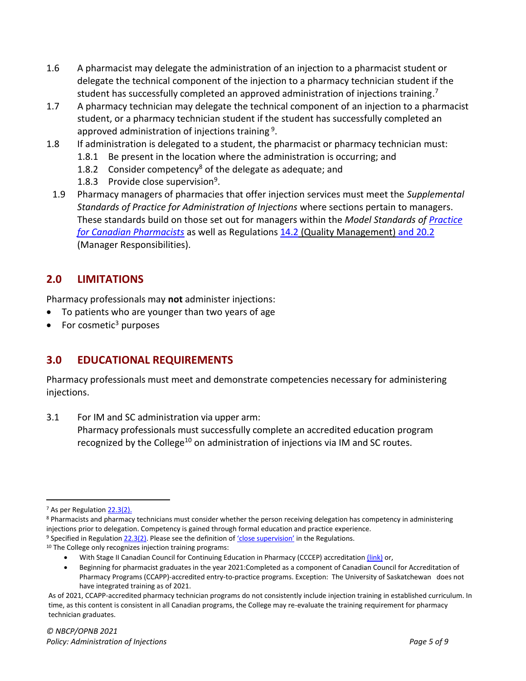- 1.6 A pharmacist may delegate the administration of an injection to a pharmacist student or delegate the technical component of the injection to a pharmacy technician student if the student has successfully completed an approved administration of injections training.<sup>7</sup>
- 1.7 A pharmacy technician may delegate the technical component of an injection to a pharmacist student, or a pharmacy technician student if the student has successfully completed an approved administration of injections training  $9$ .
- 1.8 If administration is delegated to a student, the pharmacist or pharmacy technician must:
	- 1.8.1 Be present in the location where the administration is occurring; and
	- 1.8.2 Consider competency<sup>8</sup> of the delegate as adequate; and
	- 1.8.3 Provide close supervision<sup>9</sup>.
- 1.9 Pharmacy managers of pharmacies that offer injection services must meet the *Supplemental Standards of Practice for Administration of Injections* where sections pertain to managers. These standards build on those set out for managers within the *Model Standards of [Practice](https://napra.ca/sites/default/files/2017-09/Model_Standards_of_Prac_for_Cdn_Pharm_March09_layout2017_Final.pdf)  for Canadian [Pharmacists](https://napra.ca/sites/default/files/2017-09/Model_Standards_of_Prac_for_Cdn_Pharm_March09_layout2017_Final.pdf)* as well as Regulations 14.2 [\(Quality Management\)](https://nbcp.in1touch.org/document/1733/2015%2007%2023%20REGS%20bilingual.pdf#page=113) and 20.2 (Manager Responsibilities).

## <span id="page-4-0"></span>**2.0 LIMITATIONS**

Pharmacy professionals may **not** administer injections:

- To patients who are younger than two years of age
- <span id="page-4-1"></span>For cosmetic $3$  purposes

## **3.0 EDUCATIONAL REQUIREMENTS**

Pharmacy professionals must meet and demonstrate competencies necessary for administering injections.

3.1 For IM and SC administration via upper arm: Pharmacy professionals must successfully complete an accredited education program recognized by the College<sup>10</sup> on administration of injections via IM and SC routes.

<sup>&</sup>lt;sup>7</sup> As per Regulatio[n 22.3\(2\).](https://nbcp.in1touch.org/document/1733/2015%2007%2023%20REGS%20bilingual.pdf#page=129)

<sup>8</sup> Pharmacists and pharmacy technicians must consider whether the person receiving delegation has competency in administering injections prior to delegation. Competency is gained through formal education and practice experience.

<sup>&</sup>lt;sup>9</sup> Specified in Regulatio[n 22.3\(2\).](https://nbcp.in1touch.org/document/1733/2015%2007%2023%20REGS%20bilingual.pdf#page=129) Please see the definition of ['close supervision'](https://nbcp.in1touch.org/document/1733/2015%2007%2023%20REGS%20bilingual.pdf#page=10) in the Regulations.

<sup>10</sup> The College only recognizes injection training programs:

With Stage II Canadian Council for Continuing Education in Pharmacy (CCCEP) accreditatio[n \(link\)](https://www.cccep.ca/pages/overview_of_cccep_accreditation.html?page=accreditation) or,

<sup>•</sup> Beginning for pharmacist graduates in the year 2021:Completed as a component of Canadian Council for Accreditation of Pharmacy Programs (CCAPP)-accredited entry-to-practice programs. Exception: The University of Saskatchewan does not have integrated training as of 2021.

As of 2021, CCAPP-accredited pharmacy technician programs do not consistently include injection training in established curriculum. In time, as this content is consistent in all Canadian programs, the College may re-evaluate the training requirement for pharmacy technician graduates.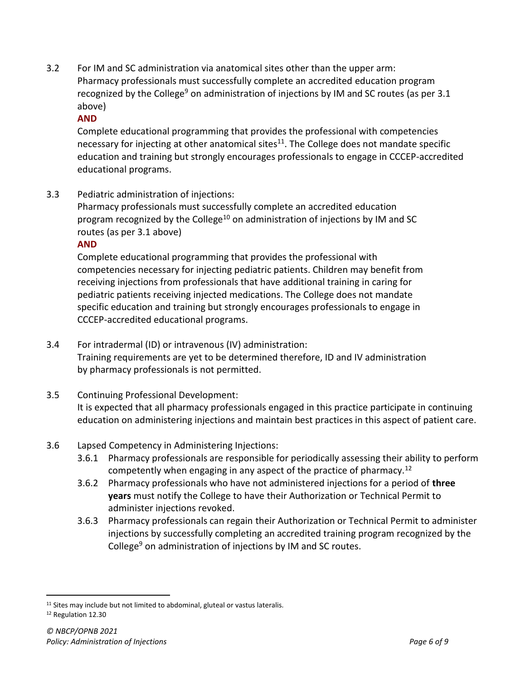3.2 For IM and SC administration via anatomical sites other than the upper arm: Pharmacy professionals must successfully complete an accredited education program recognized by the College<sup>9</sup> on administration of injections by IM and SC routes (as per 3.1 above)

## **AND**

Complete educational programming that provides the professional with competencies necessary for injecting at other anatomical sites $11$ . The College does not mandate specific education and training but strongly encourages professionals to engage in CCCEP-accredited educational programs.

3.3 Pediatric administration of injections:

Pharmacy professionals must successfully complete an accredited education program recognized by the College<sup>10</sup> on administration of injections by IM and SC routes (as per 3.1 above)

### **AND**

Complete educational programming that provides the professional with competencies necessary for injecting pediatric patients. Children may benefit from receiving injections from professionals that have additional training in caring for pediatric patients receiving injected medications. The College does not mandate specific education and training but strongly encourages professionals to engage in CCCEP-accredited educational programs.

- 3.4 For intradermal (ID) or intravenous (IV) administration: Training requirements are yet to be determined therefore, ID and IV administration by pharmacy professionals is not permitted.
- 3.5 Continuing Professional Development: It is expected that all pharmacy professionals engaged in this practice participate in continuing education on administering injections and maintain best practices in this aspect of patient care.

### 3.6 Lapsed Competency in Administering Injections:

- 3.6.1 Pharmacy professionals are responsible for periodically assessing their ability to perform competently when engaging in any aspect of the practice of pharmacy.<sup>12</sup>
- 3.6.2 Pharmacy professionals who have not administered injections for a period of **three years** must notify the College to have their Authorization or Technical Permit to administer injections revoked.
- 3.6.3 Pharmacy professionals can regain their Authorization or Technical Permit to administer injections by successfully completing an accredited training program recognized by the College<sup>9</sup> on administration of injections by IM and SC routes.

<sup>&</sup>lt;sup>11</sup> Sites may include but not limited to abdominal, gluteal or vastus lateralis.

<sup>12</sup> Regulation 12.30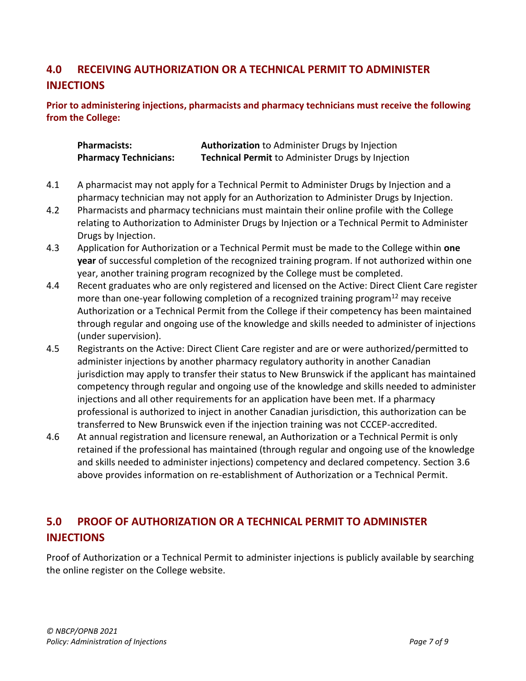## <span id="page-6-0"></span>**4.0 RECEIVING AUTHORIZATION OR A TECHNICAL PERMIT TO ADMINISTER INJECTIONS**

**Prior to administering injections, pharmacists and pharmacy technicians must receive the following from the College:** 

| <b>Pharmacists:</b>          | Authorization to Administer Drugs by Injection           |
|------------------------------|----------------------------------------------------------|
| <b>Pharmacy Technicians:</b> | <b>Technical Permit to Administer Drugs by Injection</b> |

- 4.1 A pharmacist may not apply for a Technical Permit to Administer Drugs by Injection and a pharmacy technician may not apply for an Authorization to Administer Drugs by Injection.
- 4.2 Pharmacists and pharmacy technicians must maintain their online profile with the College relating to Authorization to Administer Drugs by Injection or a Technical Permit to Administer Drugs by Injection.
- 4.3 Application for Authorization or a Technical Permit must be made to the College within **one year** of successful completion of the recognized training program. If not authorized within one year, another training program recognized by the College must be completed.
- 4.4 Recent graduates who are only registered and licensed on the Active: Direct Client Care register more than one-year following completion of a recognized training program<sup>12</sup> may receive Authorization or a Technical Permit from the College if their competency has been maintained through regular and ongoing use of the knowledge and skills needed to administer of injections (under supervision).
- 4.5 Registrants on the Active: Direct Client Care register and are or were authorized/permitted to administer injections by another pharmacy regulatory authority in another Canadian jurisdiction may apply to transfer their status to New Brunswick if the applicant has maintained competency through regular and ongoing use of the knowledge and skills needed to administer injections and all other requirements for an application have been met. If a pharmacy professional is authorized to inject in another Canadian jurisdiction, this authorization can be transferred to New Brunswick even if the injection training was not CCCEP-accredited.
- 4.6 At annual registration and licensure renewal, an Authorization or a Technical Permit is only retained if the professional has maintained (through regular and ongoing use of the knowledge and skills needed to administer injections) competency and declared competency. Section 3.6 above provides information on re-establishment of Authorization or a Technical Permit.

## <span id="page-6-1"></span>**5.0 PROOF OF AUTHORIZATION OR A TECHNICAL PERMIT TO ADMINISTER INJECTIONS**

Proof of Authorization or a Technical Permit to administer injections is publicly available by searching the online register on the College website.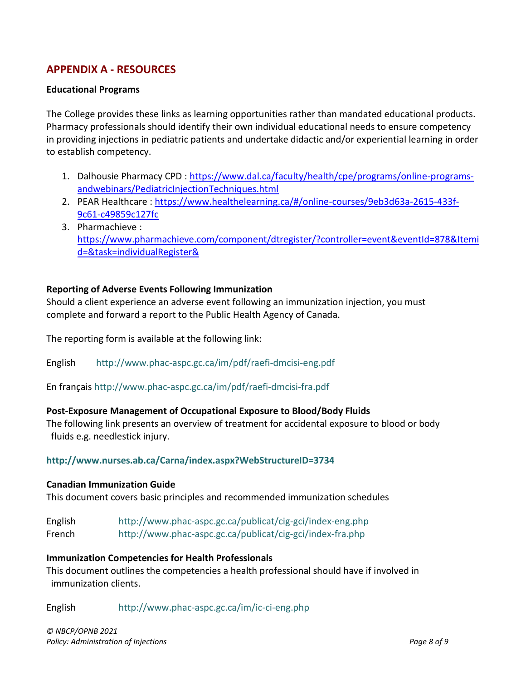## <span id="page-7-0"></span>**APPENDIX A - RESOURCES**

### **Educational Programs**

The College provides these links as learning opportunities rather than mandated educational products. Pharmacy professionals should identify their own individual educational needs to ensure competency in providing injections in pediatric patients and undertake didactic and/or experiential learning in order to establish competency.

- 1. Dalhousie Pharmacy CPD : [https://www.dal.ca/faculty/health/cpe/programs/online-programs](http://nbcp.in1touch.org/emailredirect.html?emailSentId=5502343&redirectUrl=http%3A%2F%2Fnbcp.in1touch.org%2Femailredirect.html%3FemailSentId%3D5394912%26redirectUrl%3Dhttps%253A%252F%252Fwww.dal.ca%252Ffaculty%252Fhealth%252Fcpe%252Fprograms%252Fonline-programs-andwebinars%252FPediatricInjectionTechniques.html%26key%3DA935E103662B09D8998EA212AA1CAFCA5A3289C0423EE0078085EAE5AE57E6F7&key=A552451026B82E23F9EE58EBBC768FD5347AB44C2A74BA9356D212C8A6C01CB4)[andwebinars/PediatricInjectionTechniques.html](http://nbcp.in1touch.org/emailredirect.html?emailSentId=5502343&redirectUrl=http%3A%2F%2Fnbcp.in1touch.org%2Femailredirect.html%3FemailSentId%3D5394912%26redirectUrl%3Dhttps%253A%252F%252Fwww.dal.ca%252Ffaculty%252Fhealth%252Fcpe%252Fprograms%252Fonline-programs-andwebinars%252FPediatricInjectionTechniques.html%26key%3DA935E103662B09D8998EA212AA1CAFCA5A3289C0423EE0078085EAE5AE57E6F7&key=A552451026B82E23F9EE58EBBC768FD5347AB44C2A74BA9356D212C8A6C01CB4)
- 2. PEAR Healthcare : [https://www.healthelearning.ca/#/online-courses/9eb3d63a-2615-433f-](http://nbcp.in1touch.org/emailredirect.html?emailSentId=5502343&redirectUrl=http%3A%2F%2Fnbcp.in1touch.org%2Femailredirect.html%3FemailSentId%3D5394912%26redirectUrl%3Dhttps%253A%252F%252Fwww.healthelearning.ca%252F%2523%252Fonline-courses%252F9eb3d63a-2615-433f-9c61-c49859c127fc%26key%3DBA99D553277555E446B6012C8BA48FCB5266F0C41A806F8D8CCAAE60581E88D5&key=4D8A5D476C13F5F616A7B17087EC4C568227F6F9BB68CB68C5A2BE265F9878FE)[9c61-c49859c127fc](http://nbcp.in1touch.org/emailredirect.html?emailSentId=5502343&redirectUrl=http%3A%2F%2Fnbcp.in1touch.org%2Femailredirect.html%3FemailSentId%3D5394912%26redirectUrl%3Dhttps%253A%252F%252Fwww.healthelearning.ca%252F%2523%252Fonline-courses%252F9eb3d63a-2615-433f-9c61-c49859c127fc%26key%3DBA99D553277555E446B6012C8BA48FCB5266F0C41A806F8D8CCAAE60581E88D5&key=4D8A5D476C13F5F616A7B17087EC4C568227F6F9BB68CB68C5A2BE265F9878FE)
- 3. Pharmachieve : [https://www.pharmachieve.com/component/dtregister/?controller=event&eventId=878&Itemi](http://nbcp.in1touch.org/emailredirect.html?emailSentId=5502343&redirectUrl=http%3A%2F%2Fnbcp.in1touch.org%2Femailredirect.html%3FemailSentId%3D5394912%26redirectUrl%3Dhttps%253A%252F%252Fwww.pharmachieve.com%252Fcomponent%252Fdtregister%252F%253Fcontroller%253Devent%2526eventId%253D878%2526Itemid%253D%2526task%253DindividualRegister%2526%26key%3D16CD7783E286109558B119E68FB515AC7AFE40194297DB5972902538ABAD9037&key=CB6705639628C868544DC6F7A0F62C7005194305100C46DBFB92EC3156779F16) [d=&task=individualRegister&](http://nbcp.in1touch.org/emailredirect.html?emailSentId=5502343&redirectUrl=http%3A%2F%2Fnbcp.in1touch.org%2Femailredirect.html%3FemailSentId%3D5394912%26redirectUrl%3Dhttps%253A%252F%252Fwww.pharmachieve.com%252Fcomponent%252Fdtregister%252F%253Fcontroller%253Devent%2526eventId%253D878%2526Itemid%253D%2526task%253DindividualRegister%2526%26key%3D16CD7783E286109558B119E68FB515AC7AFE40194297DB5972902538ABAD9037&key=CB6705639628C868544DC6F7A0F62C7005194305100C46DBFB92EC3156779F16)

### **Reporting of Adverse Events Following Immunization**

Should a client experience an adverse event following an immunization injection, you must complete and forward a report to the Public Health Agency of Canada.

The reporting form is available at the following link:

English <http://www.phac-aspc.gc.ca/im/pdf/raefi-dmcisi-eng.pdf>

En françai[s http://www.phac-aspc.gc.ca/im/pdf/raefi-dmcisi-fra.pdf](http://www.phac-aspc.gc.ca/im/pdf/raefi-dmcisi-fra.pdf)

### **Post-Exposure Management of Occupational Exposure to Blood/Body Fluids**

The following link presents an overview of treatment for accidental exposure to blood or body fluids e.g. needlestick injury.

### **<http://www.nurses.ab.ca/Carna/index.aspx?WebStructureID=3734>**

#### **Canadian Immunization Guide**

This document covers basic principles and recommended immunization schedules

English <http://www.phac-aspc.gc.ca/publicat/cig-gci/index-eng.php> French <http://www.phac-aspc.gc.ca/publicat/cig-gci/index-fra.php>

#### **Immunization Competencies for Health Professionals**

This document outlines the competencies a health professional should have if involved in immunization clients.

English <http://www.phac-aspc.gc.ca/im/ic-ci-eng.php>